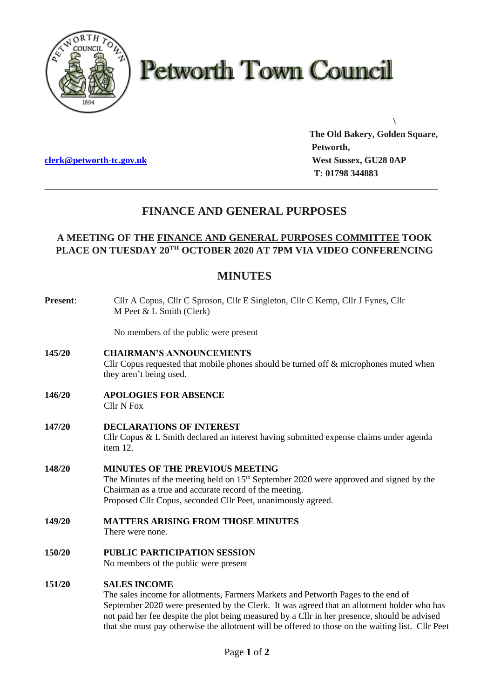

# **Petworth Town Council**

**[clerk@petworth-tc.gov.uk](mailto:clerk@petworth-tc.gov.uk) West Sussex, GU28 0AP**

**The Old Bakery, Golden Square, Petworth, T: 01798 344883**

**\**

# **FINANCE AND GENERAL PURPOSES**

**\_\_\_\_\_\_\_\_\_\_\_\_\_\_\_\_\_\_\_\_\_\_\_\_\_\_\_\_\_\_\_\_\_\_\_\_\_\_\_\_\_\_\_\_\_\_\_\_\_\_\_\_\_\_\_\_\_\_\_\_\_\_\_\_\_\_\_\_\_\_\_\_\_\_\_\_\_\_\_**

### **A MEETING OF THE FINANCE AND GENERAL PURPOSES COMMITTEE TOOK PLACE ON TUESDAY 20TH OCTOBER 2020 AT 7PM VIA VIDEO CONFERENCING**

## **MINUTES**

| Present: | Cllr A Copus, Cllr C Sproson, Cllr E Singleton, Cllr C Kemp, Cllr J Fynes, Cllr<br>M Peet $&$ L Smith (Clerk)                                                                                                                                                                                                                                                                                                |
|----------|--------------------------------------------------------------------------------------------------------------------------------------------------------------------------------------------------------------------------------------------------------------------------------------------------------------------------------------------------------------------------------------------------------------|
|          | No members of the public were present                                                                                                                                                                                                                                                                                                                                                                        |
| 145/20   | <b>CHAIRMAN'S ANNOUNCEMENTS</b><br>Cllr Copus requested that mobile phones should be turned off & microphones muted when<br>they aren't being used.                                                                                                                                                                                                                                                          |
| 146/20   | <b>APOLOGIES FOR ABSENCE</b><br><b>Cllr N Fox</b>                                                                                                                                                                                                                                                                                                                                                            |
| 147/20   | <b>DECLARATIONS OF INTEREST</b><br>Cllr Copus & L Smith declared an interest having submitted expense claims under agenda<br>item 12.                                                                                                                                                                                                                                                                        |
| 148/20   | MINUTES OF THE PREVIOUS MEETING<br>The Minutes of the meeting held on 15 <sup>th</sup> September 2020 were approved and signed by the<br>Chairman as a true and accurate record of the meeting.<br>Proposed Cllr Copus, seconded Cllr Peet, unanimously agreed.                                                                                                                                              |
| 149/20   | <b>MATTERS ARISING FROM THOSE MINUTES</b><br>There were none.                                                                                                                                                                                                                                                                                                                                                |
| 150/20   | <b>PUBLIC PARTICIPATION SESSION</b><br>No members of the public were present                                                                                                                                                                                                                                                                                                                                 |
| 151/20   | <b>SALES INCOME</b><br>The sales income for allotments, Farmers Markets and Petworth Pages to the end of<br>September 2020 were presented by the Clerk. It was agreed that an allotment holder who has<br>not paid her fee despite the plot being measured by a Cllr in her presence, should be advised<br>that she must pay otherwise the allotment will be offered to those on the waiting list. Cllr Peet |